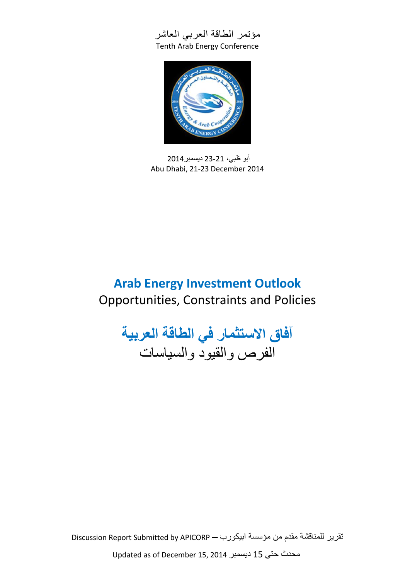



أبو ظبي، 12-12 ديسمبر2014 Abu Dhabi, 21-23 December 2014

# **Arab Energy Investment Outlook** Opportunities, Constraints and Policies

**آفاق االستثمار في الطاقة العربية** الفرص والقيود والسياسات

تقرير للمناقشة مقدم من مؤسسة ابيكورب ─ Discussion Report Submitted by APICORP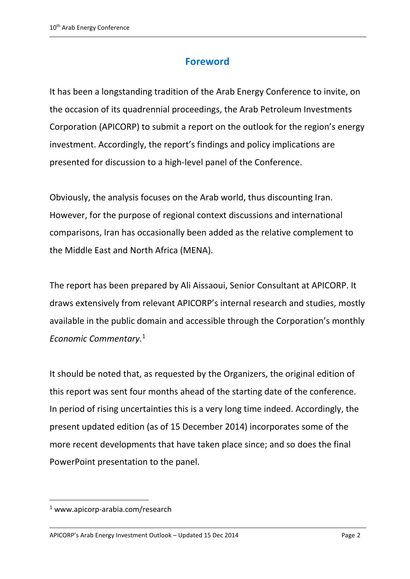# **Foreword**

It has been a longstanding tradition of the Arab Energy Conference to invite, on the occasion of its quadrennial proceedings, the Arab Petroleum Investments Corporation (APICORP) to submit a report on the outlook for the region's energy investment. Accordingly, the report's findings and policy implications are presented for discussion to a high-level panel of the Conference.

Obviously, the analysis focuses on the Arab world, thus discounting Iran. However, for the purpose of regional context discussions and international comparisons, Iran has occasionally been added as the relative complement to the Middle East and North Africa (MENA).

The report has been prepared by Ali Aissaoui, Senior Consultant at APICORP. It draws extensively from relevant APICORP's internal research and studies, mostly available in the public domain and accessible through the Corporation's monthly *Economic Commentary.*<sup>1</sup>

It should be noted that, as requested by the Organizers, the original edition of this report was sent four months ahead of the starting date of the conference. In period of rising uncertainties this is a very long time indeed. Accordingly, the present updated edition (as of 15 December 2014) incorporates some of the more recent developments that have taken place since; and so does the final PowerPoint presentation to the panel.

 $1$  [www.apicorp-arabia.com/research](http://www.apicorp-arabia.com/research)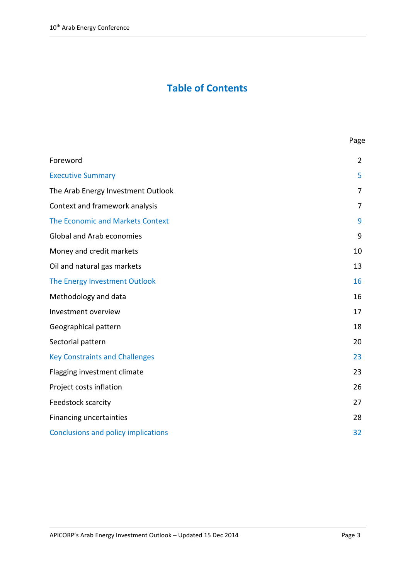# **Table of Contents**

| Foreword                                   | $\overline{2}$ |
|--------------------------------------------|----------------|
| <b>Executive Summary</b>                   | 5              |
| The Arab Energy Investment Outlook         | 7              |
| Context and framework analysis             | 7              |
| The Economic and Markets Context           | 9              |
| <b>Global and Arab economies</b>           | 9              |
| Money and credit markets                   | 10             |
| Oil and natural gas markets                | 13             |
| The Energy Investment Outlook              | 16             |
| Methodology and data                       | 16             |
| Investment overview                        | 17             |
| Geographical pattern                       | 18             |
| Sectorial pattern                          | 20             |
| <b>Key Constraints and Challenges</b>      | 23             |
| Flagging investment climate                | 23             |
| Project costs inflation                    | 26             |
| Feedstock scarcity                         | 27             |
| Financing uncertainties                    | 28             |
| <b>Conclusions and policy implications</b> | 32             |
|                                            |                |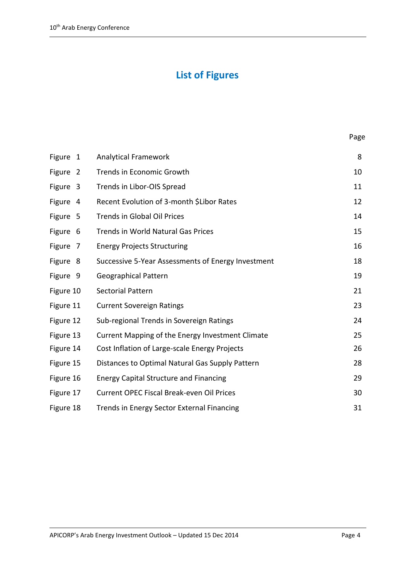# **List of Figures**

| Figure 1  | <b>Analytical Framework</b>                        | 8  |
|-----------|----------------------------------------------------|----|
| Figure 2  | Trends in Economic Growth                          | 10 |
| Figure 3  | Trends in Libor-OIS Spread                         | 11 |
| Figure 4  | Recent Evolution of 3-month \$Libor Rates          | 12 |
| Figure 5  | <b>Trends in Global Oil Prices</b>                 | 14 |
| Figure 6  | <b>Trends in World Natural Gas Prices</b>          | 15 |
| Figure 7  | <b>Energy Projects Structuring</b>                 | 16 |
| Figure 8  | Successive 5-Year Assessments of Energy Investment | 18 |
| Figure 9  | <b>Geographical Pattern</b>                        | 19 |
| Figure 10 | <b>Sectorial Pattern</b>                           | 21 |
| Figure 11 | <b>Current Sovereign Ratings</b>                   | 23 |
| Figure 12 | Sub-regional Trends in Sovereign Ratings           | 24 |
| Figure 13 | Current Mapping of the Energy Investment Climate   | 25 |
| Figure 14 | Cost Inflation of Large-scale Energy Projects      | 26 |
| Figure 15 | Distances to Optimal Natural Gas Supply Pattern    | 28 |
| Figure 16 | <b>Energy Capital Structure and Financing</b>      | 29 |
| Figure 17 | <b>Current OPEC Fiscal Break-even Oil Prices</b>   | 30 |
| Figure 18 | Trends in Energy Sector External Financing         | 31 |

Page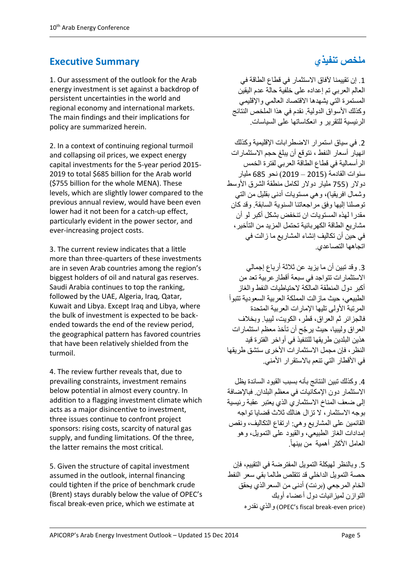# **Executive Summary**

1. Our assessment of the outlook for the Arab energy investment is set against a backdrop of persistent uncertainties in the world and regional economy and international markets. The main findings and their implications for policy are summarized herein.

2. In a context of continuing regional turmoil and collapsing oil prices, we expect energy capital investments for the 5-year period 2015- 2019 to total \$685 billion for the Arab world (\$755 billion for the whole MENA). These levels, which are slightly lower compared to the previous annual review, would have been even lower had it not been for a catch-up effect, particularly evident in the power sector, and ever-increasing project costs.

3. The current review indicates that a little more than three-quarters of these investments are in seven Arab countries among the region's biggest holders of oil and natural gas reserves. Saudi Arabia continues to top the ranking, followed by the UAE, Algeria, Iraq, Qatar, Kuwait and Libya. Except Iraq and Libya, where the bulk of investment is expected to be backended towards the end of the review period, the geographical pattern has favored countries that have been relatively shielded from the turmoil.

4. The review further reveals that, due to prevailing constraints, investment remains below potential in almost every country. In addition to a flagging investment climate which acts as a major disincentive to investment, three issues continue to confront project sponsors: rising costs, scarcity of natural gas supply, and funding limitations. Of the three, the latter remains the most critical.

5. Given the structure of capital investment assumed in the outlook, internal financing could tighten if the price of benchmark crude (Brent) stays durably below the value of OPEC's fiscal break-even price, which we estimate at

# **ملخص تنفيذي**

.2 إن تقييمنا آلفاق االستثمار في قطاع الطاقة في العالم العربي تم إعداده على خلفية حالة عدم اليقين المستمرة التي يشهدها االقتصاد العالمي واإلقليمي وكذلك الأسواق الدولية. نقدم في هذا الملخص النتائج الرئيسية للتقرير و انعكاساتها على السياسات.

.1 في سياق استمرار االضطرابات اإلقليمية وكذلك انهيار أسعار النفط ، نتوقع أن يبلغ حجم االستثمارات الرأسمالية في قطاع الطاقة العربي لفترة الخمس سنوات القادمة )1121 – 1122( نحو 581 مليار دوالر )511 مليار دوالر لكامل منطقة الشرق األوسط وشمال افريقيا)، وهي مستويات أدنى بقليل من التي توصلنا إليها وفق مراجعاتنا السنوية السابقة. وقد كان مقدرا لهذه المستويات ان تنخفض بشكل أكبر لو أن مشاريع الطاقة الكهربائية تحتمل المزيد من التأخير، في حين أن تكاليف إنشاء المشاريع ما زالت في اتجاهها التصاعدي.

.2 وقد تبين أن ما يزيد عن ثالثة أرباع إجمالي االستثمارات تتواجد في سبعة أقطارعربية تعد من أكبر دول المنطقة المالكة لاحتياطيات النفط والغاز الطبيعي، حيث مازالت المملكة العربية السعودية تتبوأ المرتبة الأولى تليها الإمارات العربية المتحدة فالجزائر ثم العراق، قطر، الكويت، ليبيا. وبخالف العراق وليبيا، حيث ير ّجح أن تأخذ معظم استثمارات هذين البلدين طريقها للتنفيذ في أواخر الفترة قيد النظر ، فإن مجمل الاستثمار ات الأخر ى ستشق طر يقها في الأقطار التي تنعم بالاستقرار الأمني.

.4 وكذلك تبين النتائج بأنه بسبب القيود السائدة يظل االستثمار دون اإلمكانيات في معظم البلدان. فباإلضافة إلى ضعف المناخ االستثماري الذي يعتبر عقبة رئيسية بوجه االستثمار، ال تزال هنالك ثالث قضايا تواجه القائمين على المشاريع وهي: ارتفاع التكاليف، ونقص إمدادات الغاز الطبيعي، والقيود على التمويل، وهو العامل الأكثر أهمية من بينهاً.

.1 وبالنظر لهيكلة التمويل المفترضة في التقييم، فإن حصة التمويل الداخلي قد تتقلص طالما بقي سعر النفط الخام المر جعي (بر نت) أدنى من السعر الذي يحقق التوازن لميزانيات دول أعضاء أوبك نقدره والذي( OPEC's fiscal break-even price(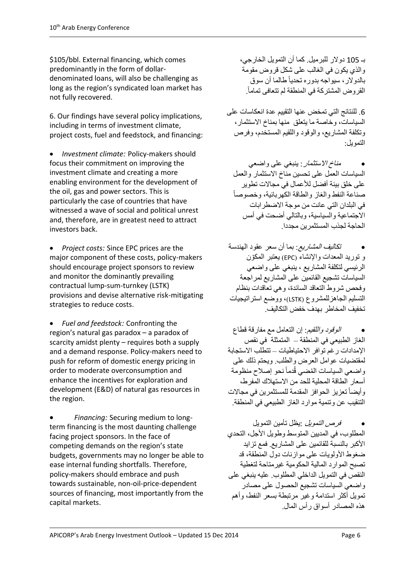\$105/bbl. External financing, which comes predominantly in the form of dollardenominated loans, will also be challenging as long as the region's syndicated loan market has not fully recovered.

6. Our findings have several policy implications, including in terms of investment climate, project costs, fuel and feedstock, and financing:

 *Investment climate:* Policy-makers should focus their commitment on improving the investment climate and creating a more enabling environment for the development of the oil, gas and power sectors. This is particularly the case of countries that have witnessed a wave of social and political unrest and, therefore, are in greatest need to attract investors back.

 *Project costs:* Since EPC prices are the major component of these costs, policy-makers should encourage project sponsors to review and monitor the dominantly prevailing contractual lump-sum-turnkey (LSTK) provisions and devise alternative risk-mitigating strategies to reduce costs.

 *Fuel and feedstock:* Confronting the region's natural gas paradox – a paradox of scarcity amidst plenty – requires both a supply and a demand response. Policy-makers need to push for reform of domestic energy pricing in order to moderate overconsumption and enhance the incentives for exploration and development (E&D) of natural gas resources in the region.

 *Financing:* Securing medium to longterm financing is the most daunting challenge facing project sponsors. In the face of competing demands on the region's state budgets, governments may no longer be able to ease internal funding shortfalls. Therefore, policy-makers should embrace and push towards sustainable, non-oil-price-dependent sources of financing, most importantly from the capital markets.

بـ 211 دوالر للبرميل. كما أن التمويل الخارجي، والذي يكون في الغالب على شكل قروض مقومة بالدوالر، سيواجه بدوره تحدياً طالما أن سوق . القروض المشتركة في المنطقة لم تتعافى تماماً

.5 للنتائج التي تمخض عنها التقييم عدة انعكاسات على السياسات، وخاصة ما يتعلق منها بمناخ االستثمار، وتكلفة المشاريع، والوقود واللقيم المستخدم، وفرص التمويل:

م*ناخ الاستثمان*: ينبغي على واضعي السياسات العمل على تحسين مناخ االستثمار والعمل على خلق بيئة أفضل لألعمال في مجاالت تطوير صناعة النفط والغاز والطاقة الكهربائية، وخصوصاً في البلدان التي عانت من موجة االضطرابات االجتماعية والسياسية، وبالتالي أضحت في أمس الحاجة لجذب المستثمرين مجددا.

 تكاليف المشاريع: بما أن سعر عقود الهندسة و توريد المعدات واإلنشاء )EPC )يعتبر المكّون الرئيسي لتكلفة المشاريع ، ينبغي على واضعي السياسات تشجيع القائمين على المشاريع لمراجعة وفحص شروط التعاقد السائدة، وهي تعاقدات بنظام التسليم الجاهزللمشروع )LSTK)، ووضع استراتيجيات تخفيف المخاطر بهدف خفض التكاليف.

 الوقود واللقيم: إن التعامل مع مفارقة قطاع الغاز الطبيعي في المنطقة – المتمثلة في نقص اإلمدادات رغم توافر االحتياطيات – تتطلب االستجابة لمقتضيات عوامل العرض والطلب. ويحتم ذلك على واضعي السياسات المُضيي قُدماً نحو إصلاح منظومة أسعار الطاقة المحلية للحد من االستهالك المفرط، رأيضاً تعزيز الحوافز المقدمة للمستثمرين في مجالات التنقيب عن وتنمية موارد الغاز الطبيعي في المنطقة.

 فرص التمويل :يظل تأمين التمويل المطلوب، في المديين المتوسط وطويل األجل، التحدي األكبر بالنسبة للقائمين على المشاريع. فمع تزايد ضغوط الأولويات على موازنات دول المنطقة، قد تصبح الموارد المالية الحكومية غيرمتاحة لتغطية النقص في التمويل الداخلي المطلوب. عليه ينبغي على واضعي السياسات تشجيع الحصول على مصادر تمويل أكثر استدامة وغير مرتبطة بسعر النفط، وأهم هذه المصادر أسواق رأس المال.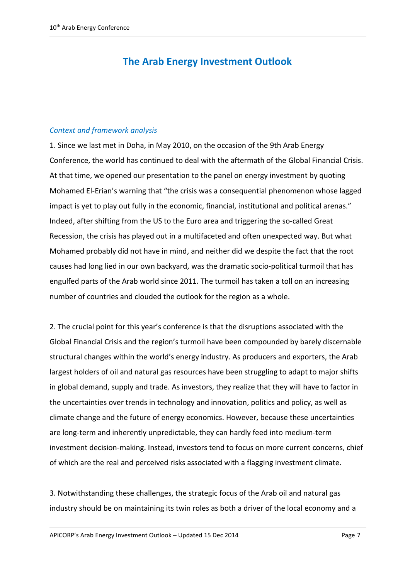# **The Arab Energy Investment Outlook**

### *Context and framework analysis*

1. Since we last met in Doha, in May 2010, on the occasion of the 9th Arab Energy Conference, the world has continued to deal with the aftermath of the Global Financial Crisis. At that time, we opened our presentation to the panel on energy investment by quoting Mohamed El-Erian's warning that "the crisis was a consequential phenomenon whose lagged impact is yet to play out fully in the economic, financial, institutional and political arenas." Indeed, after shifting from the US to the Euro area and triggering the so-called Great Recession, the crisis has played out in a multifaceted and often unexpected way. But what Mohamed probably did not have in mind, and neither did we despite the fact that the root causes had long lied in our own backyard, was the dramatic socio-political turmoil that has engulfed parts of the Arab world since 2011. The turmoil has taken a toll on an increasing number of countries and clouded the outlook for the region as a whole.

2. The crucial point for this year's conference is that the disruptions associated with the Global Financial Crisis and the region's turmoil have been compounded by barely discernable structural changes within the world's energy industry. As producers and exporters, the Arab largest holders of oil and natural gas resources have been struggling to adapt to major shifts in global demand, supply and trade. As investors, they realize that they will have to factor in the uncertainties over trends in technology and innovation, politics and policy, as well as climate change and the future of energy economics. However, because these uncertainties are long-term and inherently unpredictable, they can hardly feed into medium-term investment decision-making. Instead, investors tend to focus on more current concerns, chief of which are the real and perceived risks associated with a flagging investment climate.

3. Notwithstanding these challenges, the strategic focus of the Arab oil and natural gas industry should be on maintaining its twin roles as both a driver of the local economy and a

APICORP's Arab Energy Investment Outlook – Updated 15 Dec 2014 Page 7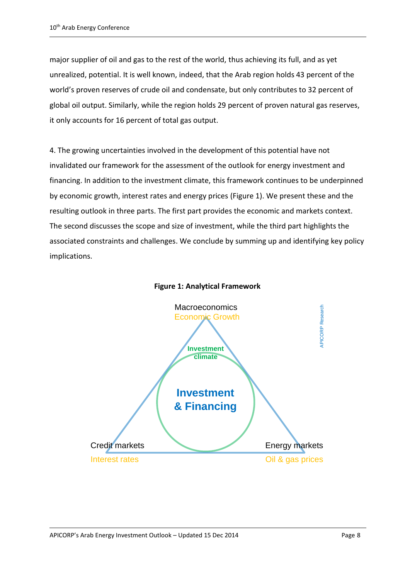major supplier of oil and gas to the rest of the world, thus achieving its full, and as yet unrealized, potential. It is well known, indeed, that the Arab region holds 43 percent of the world's proven reserves of crude oil and condensate, but only contributes to 32 percent of global oil output. Similarly, while the region holds 29 percent of proven natural gas reserves, it only accounts for 16 percent of total gas output.

4. The growing uncertainties involved in the development of this potential have not invalidated our framework for the assessment of the outlook for energy investment and financing. In addition to the investment climate, this framework continues to be underpinned by economic growth, interest rates and energy prices (Figure 1). We present these and the resulting outlook in three parts. The first part provides the economic and markets context. The second discusses the scope and size of investment, while the third part highlights the associated constraints and challenges. We conclude by summing up and identifying key policy implications.



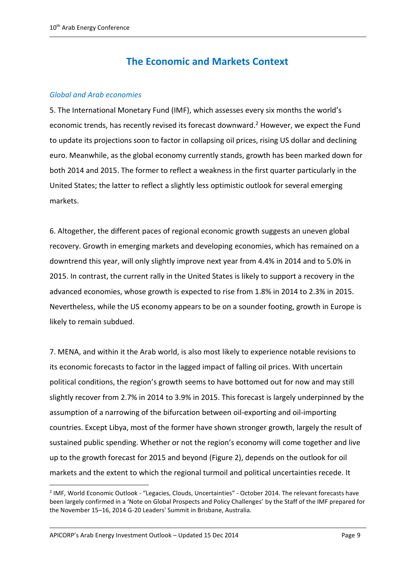# **The Economic and Markets Context**

### *Global and Arab economies*

5. The International Monetary Fund (IMF), which assesses every six months the world's economic trends, has recently revised its forecast downward.<sup>2</sup> However, we expect the Fund to update its projections soon to factor in collapsing oil prices, rising US dollar and declining euro. Meanwhile, as the global economy currently stands, growth has been marked down for both 2014 and 2015. The former to reflect a weakness in the first quarter particularly in the United States; the latter to reflect a slightly less optimistic outlook for several emerging markets.

6. Altogether, the different paces of regional economic growth suggests an uneven global recovery. Growth in emerging markets and developing economies, which has remained on a downtrend this year, will only slightly improve next year from 4.4% in 2014 and to 5.0% in 2015. In contrast, the current rally in the United States is likely to support a recovery in the advanced economies, whose growth is expected to rise from 1.8% in 2014 to 2.3% in 2015. Nevertheless, while the US economy appears to be on a sounder footing, growth in Europe is likely to remain subdued.

7. MENA, and within it the Arab world, is also most likely to experience notable revisions to its economic forecasts to factor in the lagged impact of falling oil prices. With uncertain political conditions, the region's growth seems to have bottomed out for now and may still slightly recover from 2.7% in 2014 to 3.9% in 2015. This forecast is largely underpinned by the assumption of a narrowing of the bifurcation between oil-exporting and oil-importing countries. Except Libya, most of the former have shown stronger growth, largely the result of sustained public spending. Whether or not the region's economy will come together and live up to the growth forecast for 2015 and beyond (Figure 2), depends on the outlook for oil markets and the extent to which the regional turmoil and political uncertainties recede. It

APICORP's Arab Energy Investment Outlook – Updated 15 Dec 2014 Page 9

<sup>&</sup>lt;sup>2</sup> IMF, World Economic Outlook - "Legacies, Clouds, Uncertainties" - October 2014. The relevant forecasts have been largely confirmed in a 'Note on Global Prospects and Policy Challenges' by the Staff of the IMF prepared for the November 15–16, 2014 G-20 Leaders' Summit in Brisbane, Australia.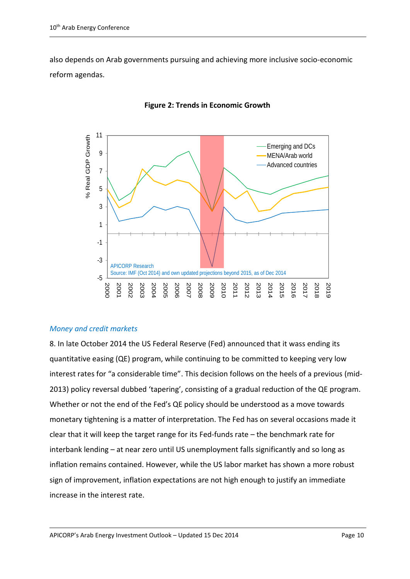also depends on Arab governments pursuing and achieving more inclusive socio-economic reform agendas.



## **Figure 2: Trends in Economic Growth**

# *Money and credit markets*

8. In late October 2014 the US Federal Reserve (Fed) announced that it wass ending its quantitative easing (QE) program, while continuing to be committed to keeping very low interest rates for "a considerable time". This decision follows on the heels of a previous (mid-2013) policy reversal dubbed 'tapering', consisting of a gradual reduction of the QE program. Whether or not the end of the Fed's QE policy should be understood as a move towards monetary tightening is a matter of interpretation. The Fed has on several occasions made it clear that it will keep the target range for its Fed-funds rate – the benchmark rate for interbank lending – at near zero until US unemployment falls significantly and so long as inflation remains contained. However, while the US labor market has shown a more robust sign of improvement, inflation expectations are not high enough to justify an immediate increase in the interest rate.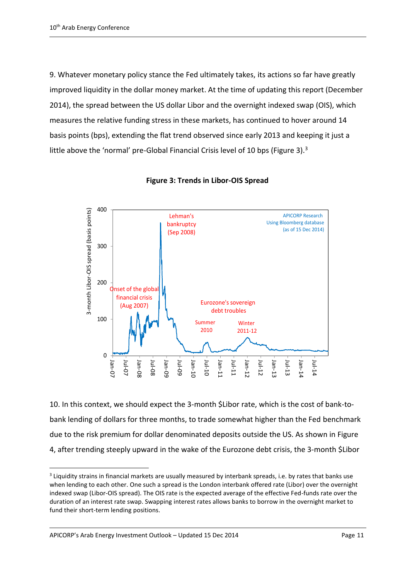9. Whatever monetary policy stance the Fed ultimately takes, its actions so far have greatly improved liquidity in the dollar money market. At the time of updating this report (December 2014), the spread between the US dollar Libor and the overnight indexed swap (OIS), which measures the relative funding stress in these markets, has continued to hover around 14 basis points (bps), extending the flat trend observed since early 2013 and keeping it just a little above the 'normal' pre-Global Financial Crisis level of 10 bps (Figure 3).<sup>3</sup>



**Figure 3: Trends in Libor-OIS Spread**

10. In this context, we should expect the 3-month \$Libor rate, which is the cost of bank-tobank lending of dollars for three months, to trade somewhat higher than the Fed benchmark due to the risk premium for dollar denominated deposits outside the US. As shown in Figure 4, after trending steeply upward in the wake of the Eurozone debt crisis, the 3-month \$Libor

<sup>&</sup>lt;sup>3</sup> Liquidity strains in financial markets are usually measured by interbank spreads, i.e. by rates that banks use when lending to each other. One such a spread is the London interbank offered rate (Libor) over the overnight indexed swap (Libor-OIS spread). The OIS rate is the expected average of the effective Fed-funds rate over the duration of an interest rate swap. Swapping interest rates allows banks to borrow in the overnight market to fund their short-term lending positions.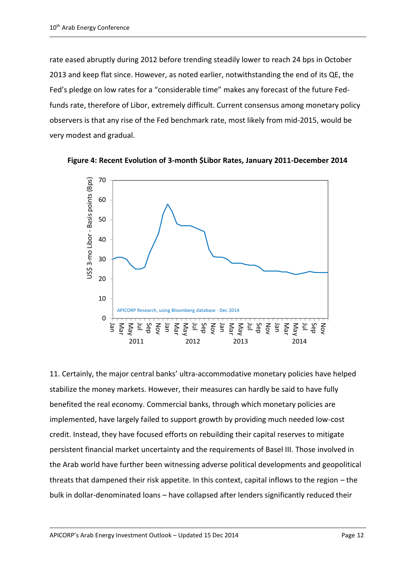rate eased abruptly during 2012 before trending steadily lower to reach 24 bps in October 2013 and keep flat since. However, as noted earlier, notwithstanding the end of its QE, the Fed's pledge on low rates for a "considerable time" makes any forecast of the future Fedfunds rate, therefore of Libor, extremely difficult. Current consensus among monetary policy observers is that any rise of the Fed benchmark rate, most likely from mid-2015, would be very modest and gradual.





11. Certainly, the major central banks' ultra-accommodative monetary policies have helped stabilize the money markets. However, their measures can hardly be said to have fully benefited the real economy. Commercial banks, through which monetary policies are implemented, have largely failed to support growth by providing much needed low-cost credit. Instead, they have focused efforts on rebuilding their capital reserves to mitigate persistent financial market uncertainty and the requirements of Basel III. Those involved in the Arab world have further been witnessing adverse political developments and geopolitical threats that dampened their risk appetite. In this context, capital inflows to the region – the bulk in dollar-denominated loans – have collapsed after lenders significantly reduced their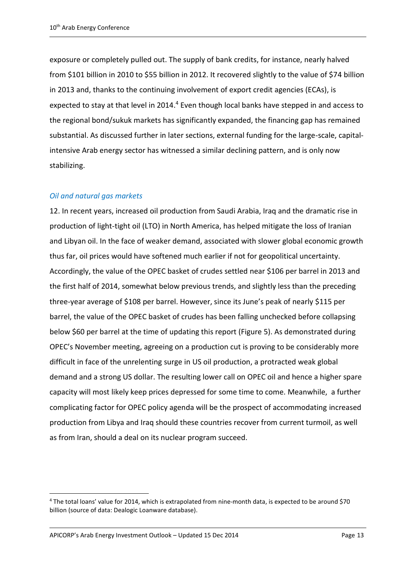exposure or completely pulled out. The supply of bank credits, for instance, nearly halved from \$101 billion in 2010 to \$55 billion in 2012. It recovered slightly to the value of \$74 billion in 2013 and, thanks to the continuing involvement of export credit agencies (ECAs), is expected to stay at that level in 2014.<sup>4</sup> Even though local banks have stepped in and access to the regional bond/sukuk markets has significantly expanded, the financing gap has remained substantial. As discussed further in later sections, external funding for the large-scale, capitalintensive Arab energy sector has witnessed a similar declining pattern, and is only now stabilizing.

## *Oil and natural gas markets*

12. In recent years, increased oil production from Saudi Arabia, Iraq and the dramatic rise in production of light-tight oil (LTO) in North America, has helped mitigate the loss of Iranian and Libyan oil. In the face of weaker demand, associated with slower global economic growth thus far, oil prices would have softened much earlier if not for geopolitical uncertainty. Accordingly, the value of the OPEC basket of crudes settled near \$106 per barrel in 2013 and the first half of 2014, somewhat below previous trends, and slightly less than the preceding three-year average of \$108 per barrel. However, since its June's peak of nearly \$115 per barrel, the value of the OPEC basket of crudes has been falling unchecked before collapsing below \$60 per barrel at the time of updating this report (Figure 5). As demonstrated during OPEC's November meeting, agreeing on a production cut is proving to be considerably more difficult in face of the unrelenting surge in US oil production, a protracted weak global demand and a strong US dollar. The resulting lower call on OPEC oil and hence a higher spare capacity will most likely keep prices depressed for some time to come. Meanwhile, a further complicating factor for OPEC policy agenda will be the prospect of accommodating increased production from Libya and Iraq should these countries recover from current turmoil, as well as from Iran, should a deal on its nuclear program succeed.

<sup>4</sup> The total loans' value for 2014, which is extrapolated from nine-month data, is expected to be around \$70 billion (source of data: Dealogic Loanware database).

APICORP's Arab Energy Investment Outlook – Updated 15 Dec 2014 Page 13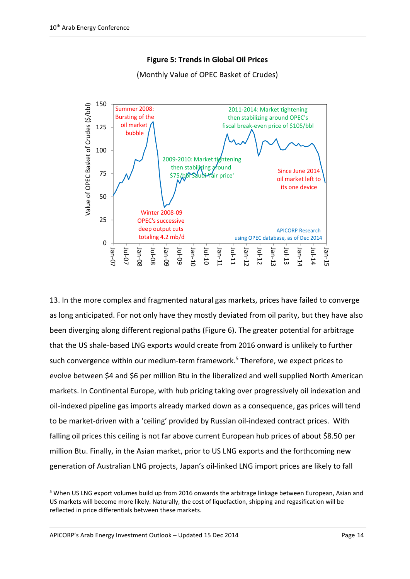

**Figure 5: Trends in Global Oil Prices** 

13. In the more complex and fragmented natural gas markets, prices have failed to converge as long anticipated. For not only have they mostly deviated from oil parity, but they have also been diverging along different regional paths (Figure 6). The greater potential for arbitrage that the US shale-based LNG exports would create from 2016 onward is unlikely to further such convergence within our medium-term framework. <sup>5</sup> Therefore, we expect prices to evolve between \$4 and \$6 per million Btu in the liberalized and well supplied North American markets. In Continental Europe, with hub pricing taking over progressively oil indexation and oil-indexed pipeline gas imports already marked down as a consequence, gas prices will tend to be market-driven with a 'ceiling' provided by Russian oil-indexed contract prices. With falling oil prices this ceiling is not far above current European hub prices of about \$8.50 per million Btu. Finally, in the Asian market, prior to US LNG exports and the forthcoming new generation of Australian LNG projects, Japan's oil-linked LNG import prices are likely to fall

(Monthly Value of OPEC Basket of Crudes)

<sup>5</sup> When US LNG export volumes build up from 2016 onwards the arbitrage linkage between European, Asian and US markets will become more likely. Naturally, the cost of liquefaction, shipping and regasification will be reflected in price differentials between these markets.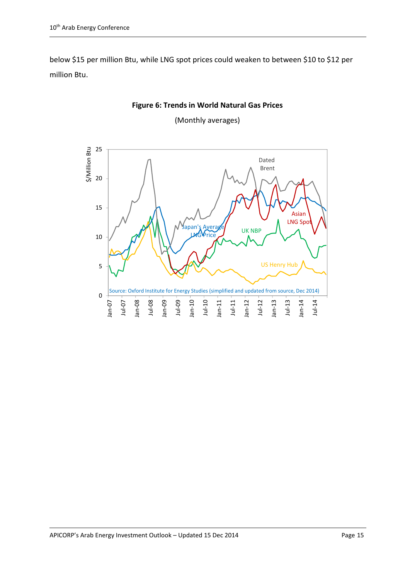below \$15 per million Btu, while LNG spot prices could weaken to between \$10 to \$12 per million Btu.



**Figure 6: Trends in World Natural Gas Prices**

(Monthly averages)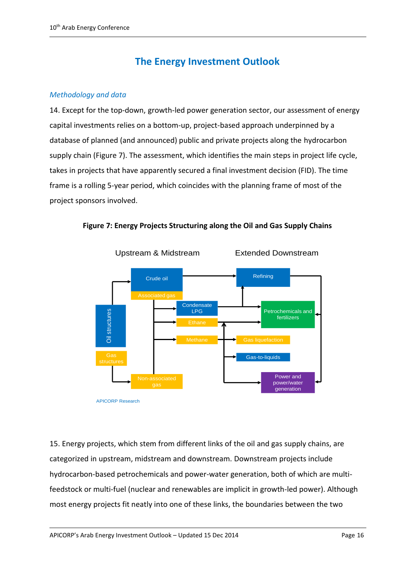# **The Energy Investment Outlook**

### *Methodology and data*

14. Except for the top-down, growth-led power generation sector, our assessment of energy capital investments relies on a bottom-up, project-based approach underpinned by a database of planned (and announced) public and private projects along the hydrocarbon supply chain (Figure 7). The assessment, which identifies the main steps in project life cycle, takes in projects that have apparently secured a final investment decision (FID). The time frame is a rolling 5-year period, which coincides with the planning frame of most of the project sponsors involved.



**Figure 7: Energy Projects Structuring along the Oil and Gas Supply Chains**

15. Energy projects, which stem from different links of the oil and gas supply chains, are categorized in upstream, midstream and downstream. Downstream projects include hydrocarbon-based petrochemicals and power-water generation, both of which are multifeedstock or multi-fuel (nuclear and renewables are implicit in growth-led power). Although most energy projects fit neatly into one of these links, the boundaries between the two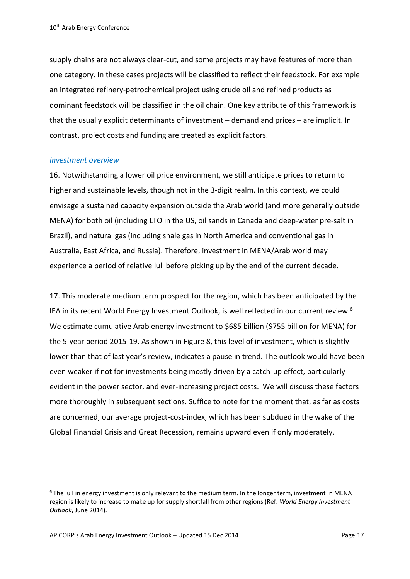supply chains are not always clear-cut, and some projects may have features of more than one category. In these cases projects will be classified to reflect their feedstock. For example an integrated refinery-petrochemical project using crude oil and refined products as dominant feedstock will be classified in the oil chain. One key attribute of this framework is that the usually explicit determinants of investment – demand and prices – are implicit. In contrast, project costs and funding are treated as explicit factors.

#### *Investment overview*

1

16. Notwithstanding a lower oil price environment, we still anticipate prices to return to higher and sustainable levels, though not in the 3-digit realm. In this context, we could envisage a sustained capacity expansion outside the Arab world (and more generally outside MENA) for both oil (including LTO in the US, oil sands in Canada and deep-water pre-salt in Brazil), and natural gas (including shale gas in North America and conventional gas in Australia, East Africa, and Russia). Therefore, investment in MENA/Arab world may experience a period of relative lull before picking up by the end of the current decade.

17. This moderate medium term prospect for the region, which has been anticipated by the IEA in its recent World Energy Investment Outlook, is well reflected in our current review.<sup>6</sup> We estimate cumulative Arab energy investment to \$685 billion (\$755 billion for MENA) for the 5-year period 2015-19. As shown in Figure 8, this level of investment, which is slightly lower than that of last year's review, indicates a pause in trend. The outlook would have been even weaker if not for investments being mostly driven by a catch-up effect, particularly evident in the power sector, and ever-increasing project costs. We will discuss these factors more thoroughly in subsequent sections. Suffice to note for the moment that, as far as costs are concerned, our average project-cost-index, which has been subdued in the wake of the Global Financial Crisis and Great Recession, remains upward even if only moderately.

<sup>6</sup> The lull in energy investment is only relevant to the medium term. In the longer term, investment in MENA region is likely to increase to make up for supply shortfall from other regions (Ref. *World Energy Investment Outlook*, June 2014).

APICORP's Arab Energy Investment Outlook – Updated 15 Dec 2014 Page 17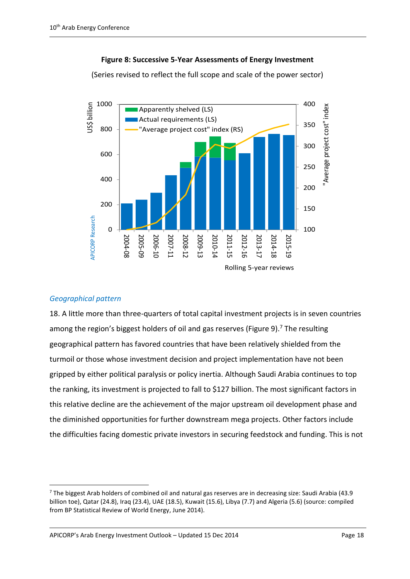### **Figure 8: Successive 5-Year Assessments of Energy Investment**

(Series revised to reflect the full scope and scale of the power sector)



# *Geographical pattern*

1

18. A little more than three-quarters of total capital investment projects is in seven countries among the region's biggest holders of oil and gas reserves (Figure 9).<sup>7</sup> The resulting geographical pattern has favored countries that have been relatively shielded from the turmoil or those whose investment decision and project implementation have not been gripped by either political paralysis or policy inertia. Although Saudi Arabia continues to top the ranking, its investment is projected to fall to \$127 billion. The most significant factors in this relative decline are the achievement of the major upstream oil development phase and the diminished opportunities for further downstream mega projects. Other factors include the difficulties facing domestic private investors in securing feedstock and funding. This is not

APICORP's Arab Energy Investment Outlook – Updated 15 Dec 2014 Page 18

<sup>7</sup> The biggest Arab holders of combined oil and natural gas reserves are in decreasing size: Saudi Arabia (43.9 billion toe), Qatar (24.8), Iraq (23.4), UAE (18.5), Kuwait (15.6), Libya (7.7) and Algeria (5.6) (source: compiled from BP Statistical Review of World Energy, June 2014).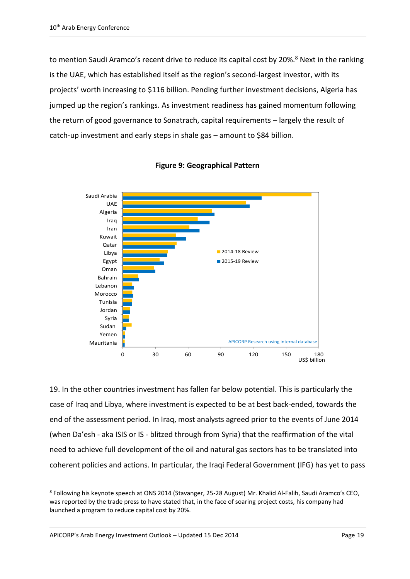to mention Saudi Aramco's recent drive to reduce its capital cost by 20%.<sup>8</sup> Next in the ranking is the UAE, which has established itself as the region's second-largest investor, with its projects' worth increasing to \$116 billion. Pending further investment decisions, Algeria has jumped up the region's rankings. As investment readiness has gained momentum following the return of good governance to Sonatrach, capital requirements – largely the result of catch-up investment and early steps in shale gas – amount to \$84 billion.



**Figure 9: Geographical Pattern** 

19. In the other countries investment has fallen far below potential. This is particularly the case of Iraq and Libya, where investment is expected to be at best back-ended, towards the end of the assessment period. In Iraq, most analysts agreed prior to the events of June 2014 (when Da'esh - aka ISIS or IS - blitzed through from Syria) that the reaffirmation of the vital need to achieve full development of the oil and natural gas sectors has to be translated into coherent policies and actions. In particular, the Iraqi Federal Government (IFG) has yet to pass

<sup>8</sup> Following his keynote speech at ONS 2014 (Stavanger, 25-28 August) Mr. Khalid Al-Falih, Saudi Aramco's CEO, was reported by the trade press to have stated that, in the face of soaring project costs, his company had launched a program to reduce capital cost by 20%.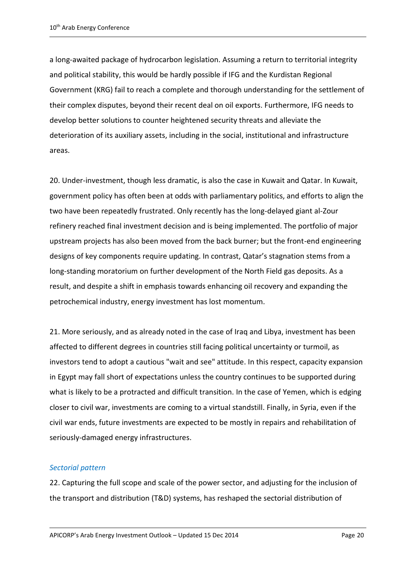a long-awaited package of hydrocarbon legislation. Assuming a return to territorial integrity and political stability, this would be hardly possible if IFG and the Kurdistan Regional Government (KRG) fail to reach a complete and thorough understanding for the settlement of their complex disputes, beyond their recent deal on oil exports. Furthermore, IFG needs to develop better solutions to counter heightened security threats and alleviate the deterioration of its auxiliary assets, including in the social, institutional and infrastructure areas.

20. Under-investment, though less dramatic, is also the case in Kuwait and Qatar. In Kuwait, government policy has often been at odds with parliamentary politics, and efforts to align the two have been repeatedly frustrated. Only recently has the long-delayed giant al-Zour refinery reached final investment decision and is being implemented. The portfolio of major upstream projects has also been moved from the back burner; but the front-end engineering designs of key components require updating. In contrast, Qatar's stagnation stems from a long-standing moratorium on further development of the North Field gas deposits. As a result, and despite a shift in emphasis towards enhancing oil recovery and expanding the petrochemical industry, energy investment has lost momentum.

21. More seriously, and as already noted in the case of Iraq and Libya, investment has been affected to different degrees in countries still facing political uncertainty or turmoil, as investors tend to adopt a cautious "wait and see" attitude. In this respect, capacity expansion in Egypt may fall short of expectations unless the country continues to be supported during what is likely to be a protracted and difficult transition. In the case of Yemen, which is edging closer to civil war, investments are coming to a virtual standstill. Finally, in Syria, even if the civil war ends, future investments are expected to be mostly in repairs and rehabilitation of seriously-damaged energy infrastructures.

# *Sectorial pattern*

22. Capturing the full scope and scale of the power sector, and adjusting for the inclusion of the transport and distribution (T&D) systems, has reshaped the sectorial distribution of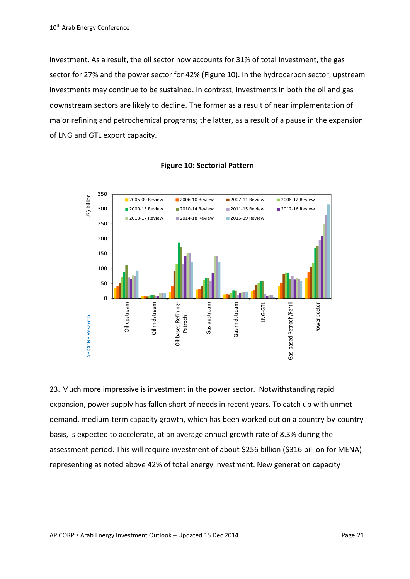investment. As a result, the oil sector now accounts for 31% of total investment, the gas sector for 27% and the power sector for 42% (Figure 10). In the hydrocarbon sector, upstream investments may continue to be sustained. In contrast, investments in both the oil and gas downstream sectors are likely to decline. The former as a result of near implementation of major refining and petrochemical programs; the latter, as a result of a pause in the expansion of LNG and GTL export capacity.



## **Figure 10: Sectorial Pattern**

23. Much more impressive is investment in the power sector. Notwithstanding rapid expansion, power supply has fallen short of needs in recent years. To catch up with unmet demand, medium-term capacity growth, which has been worked out on a country-by-country basis, is expected to accelerate, at an average annual growth rate of 8.3% during the assessment period. This will require investment of about \$256 billion (\$316 billion for MENA) representing as noted above 42% of total energy investment. New generation capacity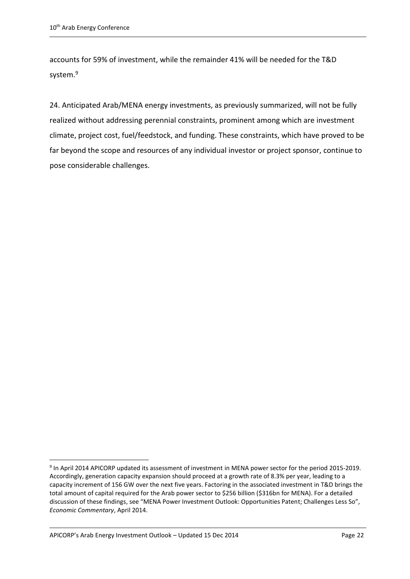accounts for 59% of investment, while the remainder 41% will be needed for the T&D system.<sup>9</sup>

24. Anticipated Arab/MENA energy investments, as previously summarized, will not be fully realized without addressing perennial constraints, prominent among which are investment climate, project cost, fuel/feedstock, and funding. These constraints, which have proved to be far beyond the scope and resources of any individual investor or project sponsor, continue to pose considerable challenges.

<sup>&</sup>lt;sup>9</sup> In April 2014 APICORP updated its assessment of investment in MENA power sector for the period 2015-2019. Accordingly, generation capacity expansion should proceed at a growth rate of 8.3% per year, leading to a capacity increment of 156 GW over the next five years. Factoring in the associated investment in T&D brings the total amount of capital required for the Arab power sector to \$256 billion (\$316bn for MENA). For a detailed discussion of these findings, see "MENA Power Investment Outlook: Opportunities Patent; Challenges Less So", *Economic Commentary*, April 2014.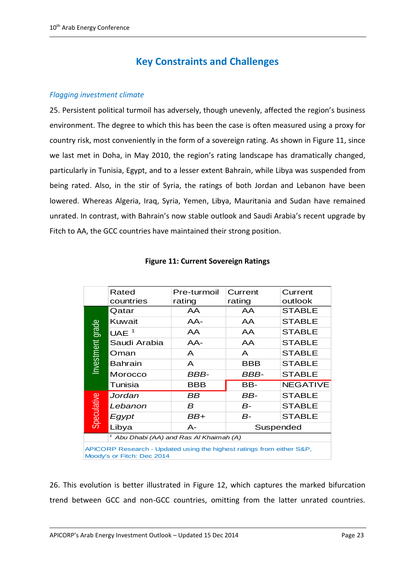# **Key Constraints and Challenges**

### *Flagging investment climate*

25. Persistent political turmoil has adversely, though unevenly, affected the region's business environment. The degree to which this has been the case is often measured using a proxy for country risk, most conveniently in the form of a sovereign rating. As shown in Figure 11, since we last met in Doha, in May 2010, the region's rating landscape has dramatically changed, particularly in Tunisia, Egypt, and to a lesser extent Bahrain, while Libya was suspended from being rated. Also, in the stir of Syria, the ratings of both Jordan and Lebanon have been lowered. Whereas Algeria, Iraq, Syria, Yemen, Libya, Mauritania and Sudan have remained unrated. In contrast, with Bahrain's now stable outlook and Saudi Arabia's recent upgrade by Fitch to AA, the GCC countries have maintained their strong position.

|                                                                                                     | Rated                                 | Pre-turmoil | Current    | Current         |  |  |
|-----------------------------------------------------------------------------------------------------|---------------------------------------|-------------|------------|-----------------|--|--|
|                                                                                                     | countries                             | rating      | rating     | outlook         |  |  |
| Investment grade                                                                                    | Qatar                                 | AA          | AA         | <b>STABLE</b>   |  |  |
|                                                                                                     | Kuwait                                | AA-         | AA         | <b>STABLE</b>   |  |  |
|                                                                                                     | UAE $1$                               | AA          | AA         | <b>STABLE</b>   |  |  |
|                                                                                                     | Saudi Arabia                          | $AA-$       | AA         | <b>STABLE</b>   |  |  |
|                                                                                                     | Oman                                  | A           | A          | <b>STABLE</b>   |  |  |
|                                                                                                     | <b>Bahrain</b>                        | A           | <b>BBB</b> | <b>STABLE</b>   |  |  |
|                                                                                                     | Morocco                               | BBB-        | BBB-       | <b>STABLE</b>   |  |  |
|                                                                                                     | Tunisia                               | BBB         | BB-        | <b>NEGATIVE</b> |  |  |
| Speculative                                                                                         | Jordan                                | BB          | BB-        | <b>STABLE</b>   |  |  |
|                                                                                                     | Lebanon                               | B           | $B-$       | <b>STABLE</b>   |  |  |
|                                                                                                     | Egypt                                 | BB+         | $B-$       | <b>STABLE</b>   |  |  |
|                                                                                                     | Libya                                 | $A -$       | Suspended  |                 |  |  |
|                                                                                                     | Abu Dhabi (AA) and Ras Al Khaimah (A) |             |            |                 |  |  |
| APICORP Research - Updated using the highest ratings from either S&P,<br>Moody's or Fitch: Dec 2014 |                                       |             |            |                 |  |  |

### **Figure 11: Current Sovereign Ratings**

26. This evolution is better illustrated in Figure 12, which captures the marked bifurcation trend between GCC and non-GCC countries, omitting from the latter unrated countries.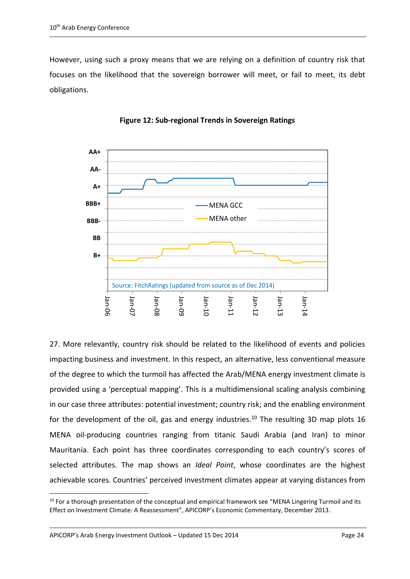However, using such a proxy means that we are relying on a definition of country risk that focuses on the likelihood that the sovereign borrower will meet, or fail to meet, its debt obligations.





27. More relevantly, country risk should be related to the likelihood of events and policies impacting business and investment. In this respect, an alternative, less conventional measure of the degree to which the turmoil has affected the Arab/MENA energy investment climate is provided using a 'perceptual mapping'. This is a multidimensional scaling analysis combining in our case three attributes: potential investment; country risk; and the enabling environment for the development of the oil, gas and energy industries.<sup>10</sup> The resulting 3D map plots 16 MENA oil-producing countries ranging from titanic Saudi Arabia (and Iran) to minor Mauritania. Each point has three coordinates corresponding to each country's scores of selected attributes. The map shows an *Ideal Point*, whose coordinates are the highest achievable scores. Countries' perceived investment climates appear at varying distances from

APICORP's Arab Energy Investment Outlook – Updated 15 Dec 2014 Page 24

 $10$  For a thorough presentation of the conceptual and empirical framework see "MENA Lingering Turmoil and its Effect on Investment Climate: A Reassessment", APICORP's Economic Commentary, December 2013.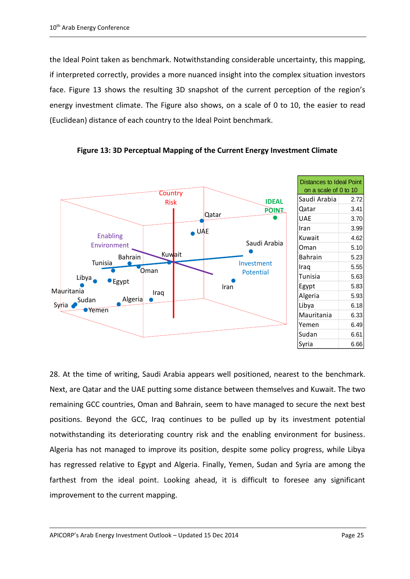the Ideal Point taken as benchmark. Notwithstanding considerable uncertainty, this mapping, if interpreted correctly, provides a more nuanced insight into the complex situation investors face. Figure 13 shows the resulting 3D snapshot of the current perception of the region's energy investment climate. The Figure also shows, on a scale of 0 to 10, the easier to read (Euclidean) distance of each country to the Ideal Point benchmark.



**Figure 13: 3D Perceptual Mapping of the Current Energy Investment Climate**

28. At the time of writing, Saudi Arabia appears well positioned, nearest to the benchmark. Next, are Qatar and the UAE putting some distance between themselves and Kuwait. The two remaining GCC countries, Oman and Bahrain, seem to have managed to secure the next best positions. Beyond the GCC, Iraq continues to be pulled up by its investment potential notwithstanding its deteriorating country risk and the enabling environment for business. Algeria has not managed to improve its position, despite some policy progress, while Libya has regressed relative to Egypt and Algeria. Finally, Yemen, Sudan and Syria are among the farthest from the ideal point. Looking ahead, it is difficult to foresee any significant improvement to the current mapping.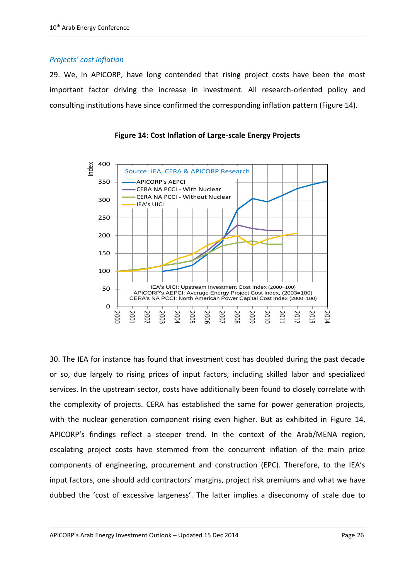# *Projects' cost inflation*

29. We, in APICORP, have long contended that rising project costs have been the most important factor driving the increase in investment. All research-oriented policy and consulting institutions have since confirmed the corresponding inflation pattern (Figure 14).



**Figure 14: Cost Inflation of Large-scale Energy Projects**

30. The IEA for instance has found that investment cost has doubled during the past decade or so, due largely to rising prices of input factors, including skilled labor and specialized services. In the upstream sector, costs have additionally been found to closely correlate with the complexity of projects. CERA has established the same for power generation projects, with the nuclear generation component rising even higher. But as exhibited in Figure 14, APICORP's findings reflect a steeper trend. In the context of the Arab/MENA region, escalating project costs have stemmed from the concurrent inflation of the main price components of engineering, procurement and construction (EPC). Therefore, to the IEA's input factors, one should add contractors' margins, project risk premiums and what we have dubbed the 'cost of excessive largeness'. The latter implies a diseconomy of scale due to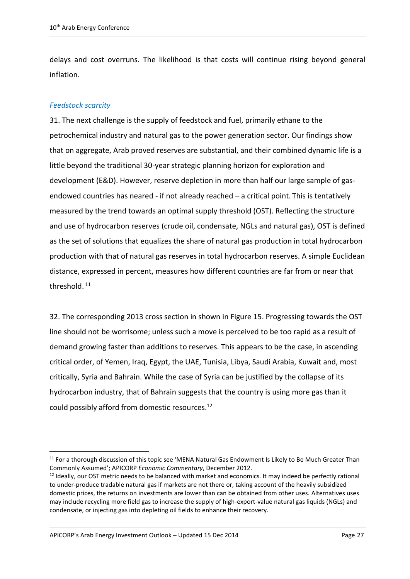delays and cost overruns. The likelihood is that costs will continue rising beyond general inflation.

# *Feedstock scarcity*

1

31. The next challenge is the supply of feedstock and fuel, primarily ethane to the petrochemical industry and natural gas to the power generation sector. Our findings show that on aggregate, Arab proved reserves are substantial, and their combined dynamic life is a little beyond the traditional 30-year strategic planning horizon for exploration and development (E&D). However, reserve depletion in more than half our large sample of gasendowed countries has neared - if not already reached – a critical point. This is tentatively measured by the trend towards an optimal supply threshold (OST). Reflecting the structure and use of hydrocarbon reserves (crude oil, condensate, NGLs and natural gas), OST is defined as the set of solutions that equalizes the share of natural gas production in total hydrocarbon production with that of natural gas reserves in total hydrocarbon reserves. A simple Euclidean distance, expressed in percent, measures how different countries are far from or near that threshold.<sup>11</sup>

32. The corresponding 2013 cross section in shown in Figure 15. Progressing towards the OST line should not be worrisome; unless such a move is perceived to be too rapid as a result of demand growing faster than additions to reserves. This appears to be the case, in ascending critical order, of Yemen, Iraq, Egypt, the UAE, Tunisia, Libya, Saudi Arabia, Kuwait and, most critically, Syria and Bahrain. While the case of Syria can be justified by the collapse of its hydrocarbon industry, that of Bahrain suggests that the country is using more gas than it could possibly afford from domestic resources.<sup>12</sup>

APICORP's Arab Energy Investment Outlook – Updated 15 Dec 2014 Page 27

<sup>&</sup>lt;sup>11</sup> For a thorough discussion of this topic see 'MENA Natural Gas Endowment Is Likely to Be Much Greater Than Commonly Assumed'; APICORP *Economic Commentary*, December 2012.

<sup>&</sup>lt;sup>12</sup> Ideally, our OST metric needs to be balanced with market and economics. It may indeed be perfectly rational to under-produce tradable natural gas if markets are not there or, taking account of the heavily subsidized domestic prices, the returns on investments are lower than can be obtained from other uses. Alternatives uses may include recycling more field gas to increase the supply of high-export-value natural gas liquids (NGLs) and condensate, or injecting gas into depleting oil fields to enhance their recovery.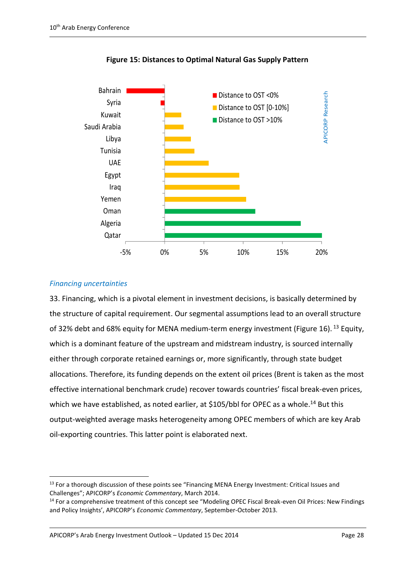

**Figure 15: Distances to Optimal Natural Gas Supply Pattern**

# *Financing uncertainties*

1

33. Financing, which is a pivotal element in investment decisions, is basically determined by the structure of capital requirement. Our segmental assumptions lead to an overall structure of 32% debt and 68% equity for MENA medium-term energy investment (Figure 16). <sup>13</sup> Equity, which is a dominant feature of the upstream and midstream industry, is sourced internally either through corporate retained earnings or, more significantly, through state budget allocations. Therefore, its funding depends on the extent oil prices (Brent is taken as the most effective international benchmark crude) recover towards countries' fiscal break-even prices, which we have established, as noted earlier, at \$105/bbl for OPEC as a whole.<sup>14</sup> But this output-weighted average masks heterogeneity among OPEC members of which are key Arab oil-exporting countries. This latter point is elaborated next.

APICORP's Arab Energy Investment Outlook – Updated 15 Dec 2014 Page 28

<sup>&</sup>lt;sup>13</sup> For a thorough discussion of these points see "Financing MENA Energy Investment: Critical Issues and Challenges"; APICORP's *Economic Commentary*, March 2014.

<sup>&</sup>lt;sup>14</sup> For a comprehensive treatment of this concept see "Modeling OPEC Fiscal Break-even Oil Prices: New Findings and Policy Insights', APICORP's *Economic Commentary*, September-October 2013.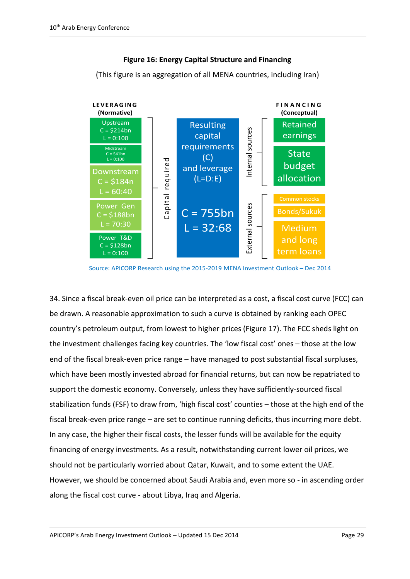

### **Figure 16: Energy Capital Structure and Financing**

(This figure is an aggregation of all MENA countries, including Iran)

Source: APICORP Research using the 2015-2019 MENA Investment Outlook – Dec 2014

34. Since a fiscal break-even oil price can be interpreted as a cost, a fiscal cost curve (FCC) can be drawn. A reasonable approximation to such a curve is obtained by ranking each OPEC country's petroleum output, from lowest to higher prices (Figure 17). The FCC sheds light on the investment challenges facing key countries. The 'low fiscal cost' ones – those at the low end of the fiscal break-even price range – have managed to post substantial fiscal surpluses, which have been mostly invested abroad for financial returns, but can now be repatriated to support the domestic economy. Conversely, unless they have sufficiently-sourced fiscal stabilization funds (FSF) to draw from, 'high fiscal cost' counties – those at the high end of the fiscal break-even price range – are set to continue running deficits, thus incurring more debt. In any case, the higher their fiscal costs, the lesser funds will be available for the equity financing of energy investments. As a result, notwithstanding current lower oil prices, we should not be particularly worried about Qatar, Kuwait, and to some extent the UAE. However, we should be concerned about Saudi Arabia and, even more so - in ascending order along the fiscal cost curve - about Libya, Iraq and Algeria.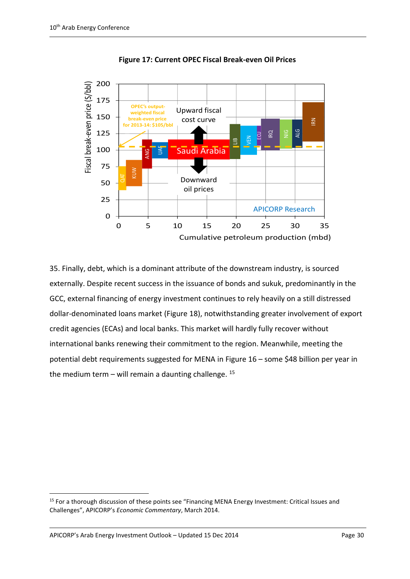

**Figure 17: Current OPEC Fiscal Break-even Oil Prices**

35. Finally, debt, which is a dominant attribute of the downstream industry, is sourced externally. Despite recent success in the issuance of bonds and sukuk, predominantly in the GCC, external financing of energy investment continues to rely heavily on a still distressed dollar-denominated loans market (Figure 18), notwithstanding greater involvement of export credit agencies (ECAs) and local banks. This market will hardly fully recover without international banks renewing their commitment to the region. Meanwhile, meeting the potential debt requirements suggested for MENA in Figure 16 – some \$48 billion per year in the medium term – will remain a daunting challenge.  $^{15}$ 

APICORP's Arab Energy Investment Outlook – Updated 15 Dec 2014 Page 30

<sup>15</sup> For a thorough discussion of these points see "Financing MENA Energy Investment: Critical Issues and Challenges", APICORP's *Economic Commentary*, March 2014.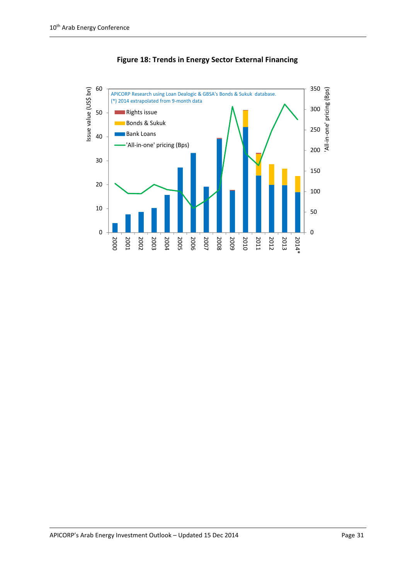

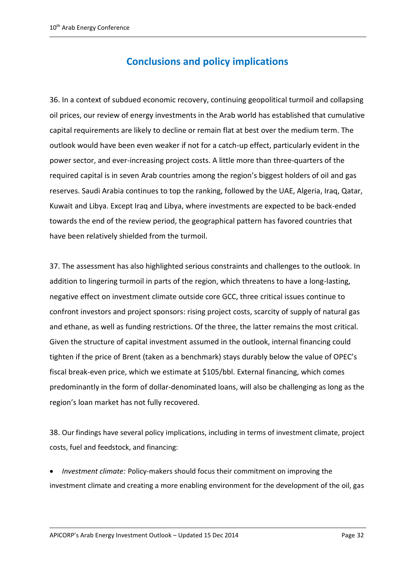# **Conclusions and policy implications**

36. In a context of subdued economic recovery, continuing geopolitical turmoil and collapsing oil prices, our review of energy investments in the Arab world has established that cumulative capital requirements are likely to decline or remain flat at best over the medium term. The outlook would have been even weaker if not for a catch-up effect, particularly evident in the power sector, and ever-increasing project costs. A little more than three-quarters of the required capital is in seven Arab countries among the region's biggest holders of oil and gas reserves. Saudi Arabia continues to top the ranking, followed by the UAE, Algeria, Iraq, Qatar, Kuwait and Libya. Except Iraq and Libya, where investments are expected to be back-ended towards the end of the review period, the geographical pattern has favored countries that have been relatively shielded from the turmoil.

37. The assessment has also highlighted serious constraints and challenges to the outlook. In addition to lingering turmoil in parts of the region, which threatens to have a long-lasting, negative effect on investment climate outside core GCC, three critical issues continue to confront investors and project sponsors: rising project costs, scarcity of supply of natural gas and ethane, as well as funding restrictions. Of the three, the latter remains the most critical. Given the structure of capital investment assumed in the outlook, internal financing could tighten if the price of Brent (taken as a benchmark) stays durably below the value of OPEC's fiscal break-even price, which we estimate at \$105/bbl. External financing, which comes predominantly in the form of dollar-denominated loans, will also be challenging as long as the region's loan market has not fully recovered.

28. Our findings have several policy implications, including in terms of investment climate, project costs, fuel and feedstock, and financing:

 *Investment climate:* Policy-makers should focus their commitment on improving the investment climate and creating a more enabling environment for the development of the oil, gas